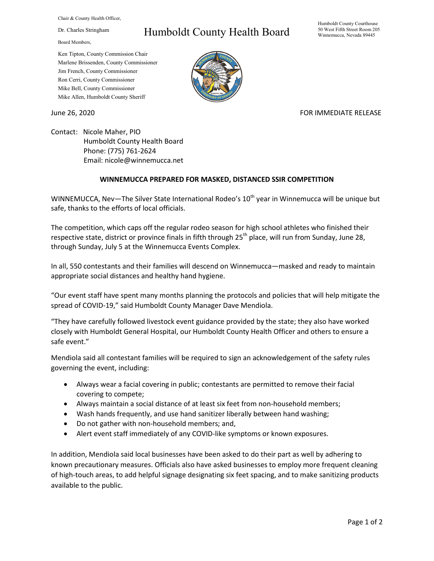Chair & County Health Officer,

Dr. Charles Stringham

Board Members,

## Humboldt County Health Board

Humboldt County Courthouse 50 West Fifth Street Room 205 Winnemucca, Nevada 89445

Ken Tipton, County Commission Chair Marlene Brissenden, County Commissioner Jim French, County Commissioner Ron Cerri, County Commissioner Mike Bell, County Commissioner Mike Allen, Humboldt County Sheriff

## June 26, 2020 **FOR IMMEDIATE RELEASE**

Contact: Nicole Maher, PIO Humboldt County Health Board Phone: (775) 761-2624 Email: nicole@winnemucca.net

## **WINNEMUCCA PREPARED FOR MASKED, DISTANCED SSIR COMPETITION**

WINNEMUCCA, Nev-The Silver State International Rodeo's  $10<sup>th</sup>$  year in Winnemucca will be unique but safe, thanks to the efforts of local officials.

The competition, which caps off the regular rodeo season for high school athletes who finished their respective state, district or province finals in fifth through 25<sup>th</sup> place, will run from Sunday, June 28, through Sunday, July 5 at the Winnemucca Events Complex.

In all, 550 contestants and their families will descend on Winnemucca—masked and ready to maintain appropriate social distances and healthy hand hygiene.

"Our event staff have spent many months planning the protocols and policies that will help mitigate the spread of COVID-19," said Humboldt County Manager Dave Mendiola.

"They have carefully followed livestock event guidance provided by the state; they also have worked closely with Humboldt General Hospital, our Humboldt County Health Officer and others to ensure a safe event."

Mendiola said all contestant families will be required to sign an acknowledgement of the safety rules governing the event, including:

- Always wear a facial covering in public; contestants are permitted to remove their facial covering to compete;
- Always maintain a social distance of at least six feet from non-household members;
- Wash hands frequently, and use hand sanitizer liberally between hand washing;
- Do not gather with non-household members; and,
- Alert event staff immediately of any COVID-like symptoms or known exposures.

In addition, Mendiola said local businesses have been asked to do their part as well by adhering to known precautionary measures. Officials also have asked businesses to employ more frequent cleaning of high-touch areas, to add helpful signage designating six feet spacing, and to make sanitizing products available to the public.